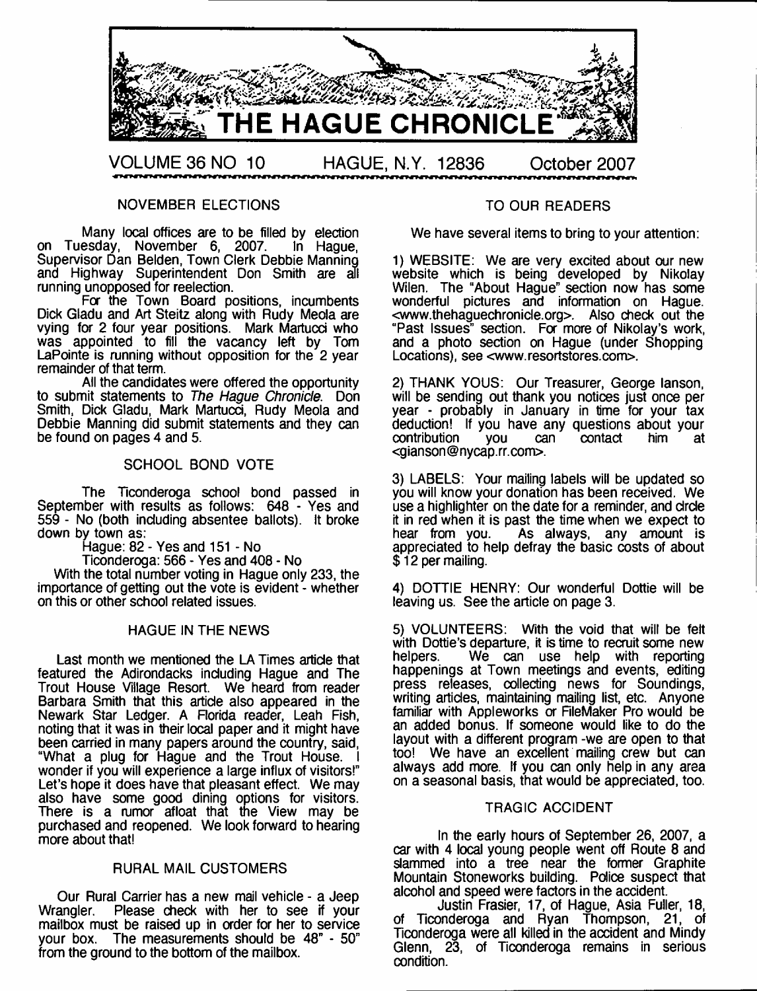

NOVEMBER ELECTIONS

Many local offices are to be filled by election on Tuesday, November 6, 2007. In Hague, Supervisor Dan Belden, Town Clerk Debbie Manning and Highway Superintendent Don Smith are all running unopposed for reelection.

For the Town Board positions, incumbents Dick Gladu and Art Steitz along with Rudy Meola are vying for 2 four year positions. Mark Martucci who was appointed to fill the vacancy left by Tom LaPointe is running without opposition for the 2 year remainder of that term.

All the candidates were offered the opportunity to submit statements to *The Hague Chronicle.* Don Smith, Dick Gladu, Mark Martucci, Rudy Meola and Debbie Manning did submit statements and they can be found on pages 4 and 5.

## SCHOOL BOND VOTE

The Ticonderoga school bond passed in September with results as follows: 648 - Yes and 559 - No (both induding absentee ballots). It broke down by town as:

Hague: 82 - Yes and 151 - No

Ticonderoga: 566 - Yes and 408 - No

With the total number voting in Hague only 233, the importance of getting out the vote is evident - whether on this or other school related issues.

## HAGUE IN THE NEWS

Last month we mentioned the LA Times artide that featured the Adirondacks induding Hague and The Trout House Village Resort. We heard from reader Barbara Smith that this artide also appeared in the Newark Star Ledger. A Florida reader, Leah Fish, noting that it was in their local paper and it might have been carried in many papers around the country, said, "What a plug for Hague and the Trout House. I wonder if you will experience a large influx of visitors!" Let's hope it does have that pleasant effect. We may also have some good dining options for visitors. There is a rumor afloat that the View may be purchased and reopened. We look forward to hearing more about that!

## RURAL MAIL CUSTOMERS

Our Rural Carrier has a new mail vehicle - a Jeep Wrangler. Please check with her to see if your mailbox must be raised up in order for her to service your box. The measurements should be 48" - 50" from the ground to the bottom of the mailbox.

#### TO OUR READERS

We have several items to bring to your attention:

1) WEBSITE: We are very excited about our new website which is being developed by Nikolay Wilen. The "About Haque" section now has some wonderful pictures and information on Hague. <[www.thehaguechronide.org](http://www.thehaguechronide.org)>. Also check out the "Past Issues" section. For more of Nikolay's work, and a photo section on Hague (under Shopping Locations), see [<www.resortstores.com>](http://www.resortstores.com).

2) THANK YOUS: Our Treasurer, George lanson, will be sending out thank you notices just once per year - probably in January in time for your tax deduction! If you have any questions about your<br>contribution vou can contact him at contribution [<gianson@nycap.rr.com](mailto:gianson@nycap.rr.com)>.

3) LABELS: Your mailing labels will be updated so you will know your donation has been received. We use a highlighter on the date for a reminder, and drde it in red when it is past the time when we expect to hear from you. As always, any amount is appredated to help defray the basic costs of about \$ 12 per mailing.

4) DOTTIE HENRY: Our wonderful Dottie will be leaving us. See the article on page 3.

5) VOLUNTEERS: With the void that will be felt with Dottie's departure, it is time to recruit some new<br>helpers. We can use help with reporting We can use help with reporting happenings at Town meetings and events, editing press releases, collecting news for Soundings, writing articles, maintaining mailing list, etc. Anyone familiar with Appleworks or FileMaker Pro would be an added bonus. If someone would like to do the layout with a different program -we are open to that too! We have an excellent mailing crew but can always add more. If you can only help in any area on a seasonal basis, that would be appreciated, too.

#### TRAGIC ACCIDENT

In the early hours of September 26, 2007, a car with 4 local young people went off Route 8 and slammed into a tree near the former Graphite Mountain Stoneworks building. Police suspect that alcohol and speed were factors in the accident.

Justin Frasier, 17, of Hague, Asia Fuller, 18, of Ticonderoga and Ryan Thompson, 21, of Ticonderoga were all killed in the accident and Mindy Glenn, 23, of Ticonderoga remains in serious condition.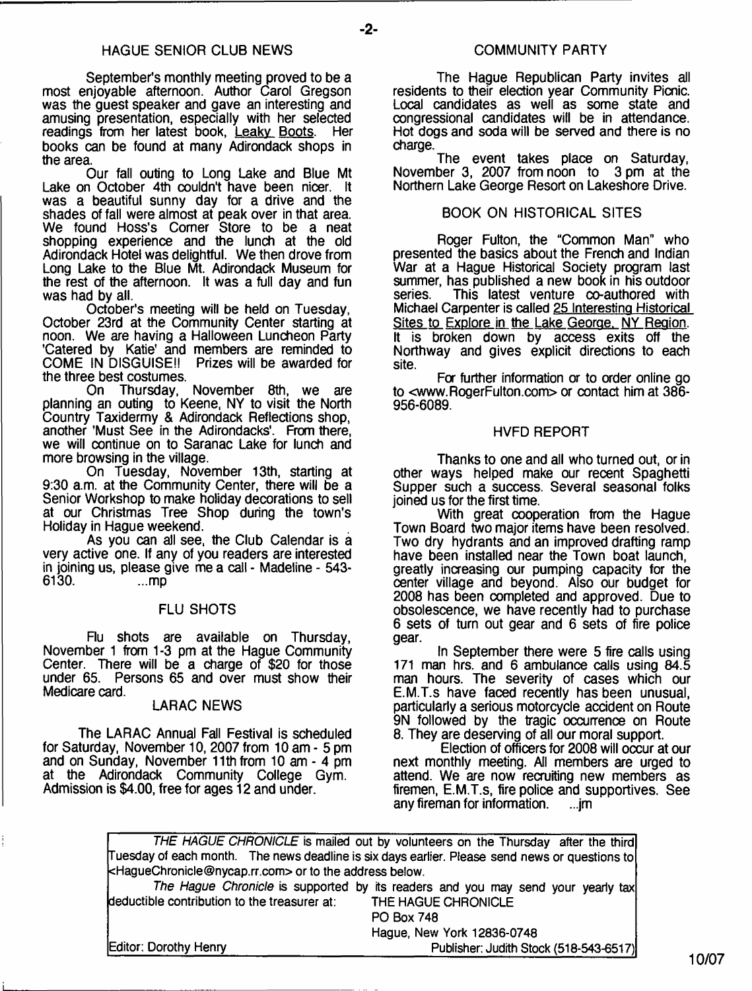**-2-**

September's monthly meeting proved to be a most enjoyable afternoon. Author Carol Gregson was the quest speaker and gave an interesting and amusing presentation, especially with her selected readings from her latest book, <u>Leaky Boots</u>. Her books can be found at many Adirondack shops in the area.

Our fall outing to Long Lake and Blue Mt Lake on October 4th couldn't have been nicer. It was a beautiful sunny day for a drive and the shades of fall were almost at peak over in that area. We found Hoss's Comer Store to be a neat shopping experience and the lunch at the old Adirondack Hotel was delightful. We then drove from Long Lake to the Blue Mt. Adirondack Museum for the rest of the afternoon. It was a full day and fun was had by all.

October's meeting will be held on Tuesday, October 23rd at the Community Center starting at noon. We are having a Halloween Luncheon Party 'Catered by Katie' and members are reminded to COME IN DISGUISE!! Prizes will be awarded for the three best costumes.

On Thursday, November 8th, we are planning an outing to Keene, NY to visit the North Country Taxidermy & Adirondack Reflections shop, another 'Must See in the Adirondacks'. From there, we will continue on to Saranac Lake for lunch and more browsing in the village.

On Tuesday, November 13th, starting at 9:30 a.m. at the Community Center, there will be a Senior Workshop to make holiday decorations to sell at our Christmas Tree Shop during the town's Holiday in Hague weekend.

As you can all see, the Club Calendar is a very active one. If any of you readers are interested in joining us, please give me a call - Madeline - 543- 6130.

#### FLU SHOTS

Flu shots are available on Thursday, November 1 from 1-3 pm at the Hague Community Center. There will be a charge of \$20 for those under 65. Persons 65 and over must show their Medicare card.

## LARAC NEWS

The LARAC Annual Fall Festival is scheduled for Saturday, November 10, 2007 from 10 am - 5 pm and on Sunday, November 11th from 10 am - 4 pm at the Adirondack Community College Gym. Admission is \$4.00, free for ages 12 and under.

The Hague Republican Party invites all residents to their election year Community Picnic. Local candidates as well as some state and congressional candidates will be in attendance. Hot dogs and soda will be served and there is no charge.

The event takes place on Saturday, November 3, 2007 from noon to 3 pm at the Northern Lake George Resort on Lakeshore Drive.

## BOOK ON HISTORICAL SITES

Roger Fulton, the "Common Man" who presented the basics about the French and Indian War at a Hague Historical Society program last summer, has published a new book in his outdoor<br>series. This latest venture co-authored with This latest venture  $\infty$ -authored with Michael Carpenter is called 25 Interesting Historical Sites to Explore in the Lake George. NY Region. It is broken down by access exits off the Northway and gives explicit directions to each site.

For further information or to order online go to [<www.RogerFulton.com](http://www.RogerFulton.com)> or contact him at 386- 956-6089.

#### HVFD REPORT

Thanks to one and all who turned out, or in other ways helped make our recent Spaghetti Supper such a success. Several seasonal folks joined us for the first time.

With great cooperation from the Hague Town Board two major items have been resolved. Two dry hydrants and an improved drafting ramp have been installed near the Town boat launch, greatly increasing our pumping capacity for the center village and beyond. Also our budget for 2008 has been completed and approved. Due to obsolescence, we have recently had to purchase 6 sets of turn out gear and 6 sets of fire police gear.

In September there were 5 fire calls using 171 man hrs. and 6 ambulance calls using 84.5 man hours. The severity of cases which our E.M.T.s have faced recently has been unusual, particularly a serious motorcycle accident on Route 9N followed by the tragic occurrence on Route 8. They are deserving of all our moral support.

Election of officers for 2008 will occur at our next monthly meeting. All members are urged to attend. We are now recruiting new members as firemen, E.M.T.s, fire police and supportives. See any fireman for information.

*THE HAGUE CHRONICLE* **is mailed out by volunteers on the Thursday after the third Tuesday of each month. The news deadline is six days earlier. Please send news or questions to <[HagueChronicle@nycap.rr.com](mailto:HagueChronicle@nycap.rr.com)> or to the address below.** *The Hague Chronicle* **is supported by its readers and you may send your yearly tax deductible contribution to the treasurer at: THE HAGUE CHRONICLE PO Box 748 Hague, New York 12836-0748 Editor: Dorothy Henry\_\_\_\_\_\_\_\_\_\_\_\_\_\_\_\_\_\_\_\_\_\_\_\_\_\_\_\_\_\_\_\_\_ Publisher: Judith Stock (518-543-6517)**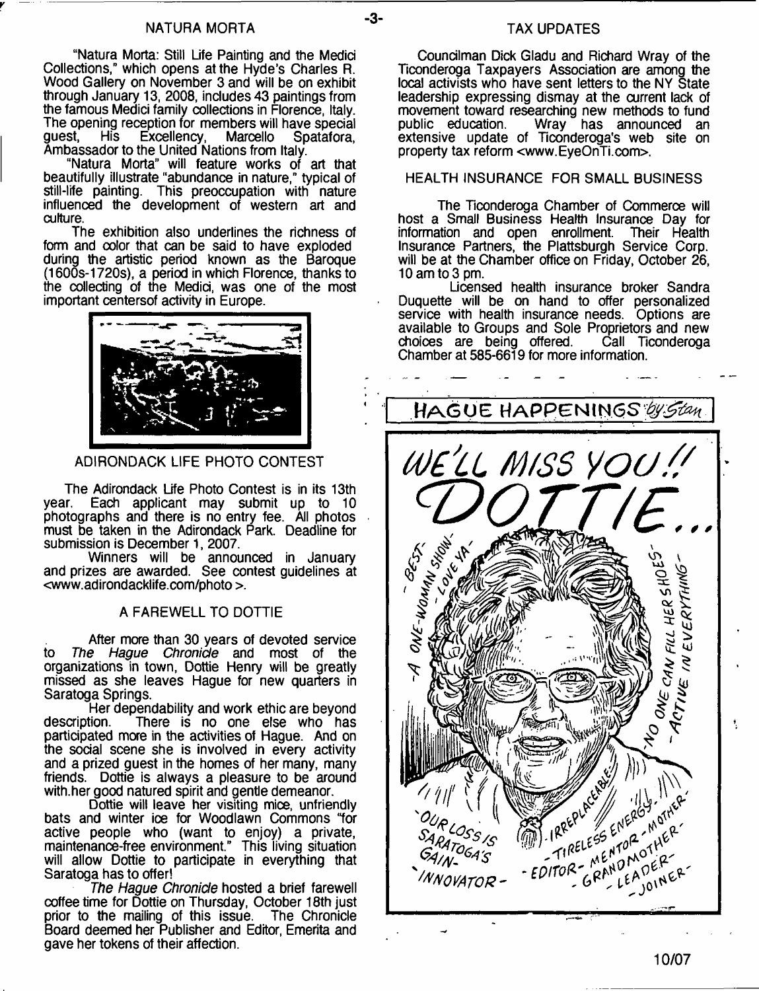"Natura Morta: Still Life Painting and the Medici Collections," which opens at the Hyde's Charles R. Wood Gallery on November 3 and will be on exhibit through January 13, 2008, includes 43 paintings from the famous Medici family collections in Florence, Italy. The opening reception for members will have special guest, His Excellency, Marcello Spatafora, guest, His Excellency, Marcello Spatafora, Ambassador to the United Nations from Italy.

"Natura Morta" will feature works of art that beautifully illustrate "abundance in nature," typical of still-life painting. This preoccupation with nature influenced the development of western art and culture.

The exhibition also underlines the richness of form and oolor that can be said to have exploded during the artistic period known as the Baroque (1600s-1720s), a period in which Florence, thanks to the collecting of the Medici, was one of the most important centersof activity in Europe.



ADIRONDACK LIFE PHOTO CONTEST

The Adirondack Life Photo Contest is in its 13th vear. Each applicant may submit up to 10 Each applicant may submit up to 10 photographs and there is no entry fee. All photos must be taken in the Adirondack Park. Deadline for submission is December 1, 2007.

Winners will be announced in January and prizes are awarded. See contest guidelines at <[www.adirondacklife.com/photo](http://www.adirondacklife.com/photo) >.

## A FAREWELL TO DOTTIE

After more than 30 years of devoted service to *The Hague Chronicle* and most of the organizations in town, Dottie Henry will be greatly missed as she leaves Hague for new quarters in Saratoga Springs.

Her dependability and work ethic are beyond<br>description. There is no one else who has There is no one else who has participated more in the activities of Hague. And on the social scene she is involved in every activity and a prized guest in the homes of her many, many friends. Dottie is always a pleasure to be around with.her good natured spirit and gentle demeanor.

Dottie will leave her visiting mice, unfriendly bats and winter ice for Woodlawn Commons "for active people who (want to enjoy) a private, maintenance-free environment." This living situation will allow Dottie to participate in everything that Saratoga has to offer!

*The Hague Chronicle* hosted a brief farewell coffee time for Dottie on Thursday, October 18th just prior to the mailing of this issue. The Chronicle Board deemed her Publisher and Editor, Emerita and gave her tokens of their affection.

## TAX UPDATES

Councilman Dick Gladu and Richard Wray of the Ticonderoga Taxpayers Association are among the local activists who have sent letters to the NY State leadership expressing dismay at the current lack of movement toward researching new methods to fund public education. Wray has announced an extensive update of Ticonderoga's web site on property tax reform <[www.EyeOnTi.com>](http://www.EyeOnTi.com).

## HEALTH INSURANCE FOR SMALL BUSINESS

The Ticonderoga Chamber of Commerce will host a Small Business Health Insurance Day for information and open enrollment. Their Health Insurance Partners, the Plattsburgh Service Corp. will be at the Chamber office on Friday, October 26, 10 am to 3 pm.

Licensed health insurance broker Sandra Duquette will be on hand to offer personalized service with health insurance needs. Options are available to Groups and Sole Proprietors and new choices are being offered. Chamber at 585-6619 for more information.

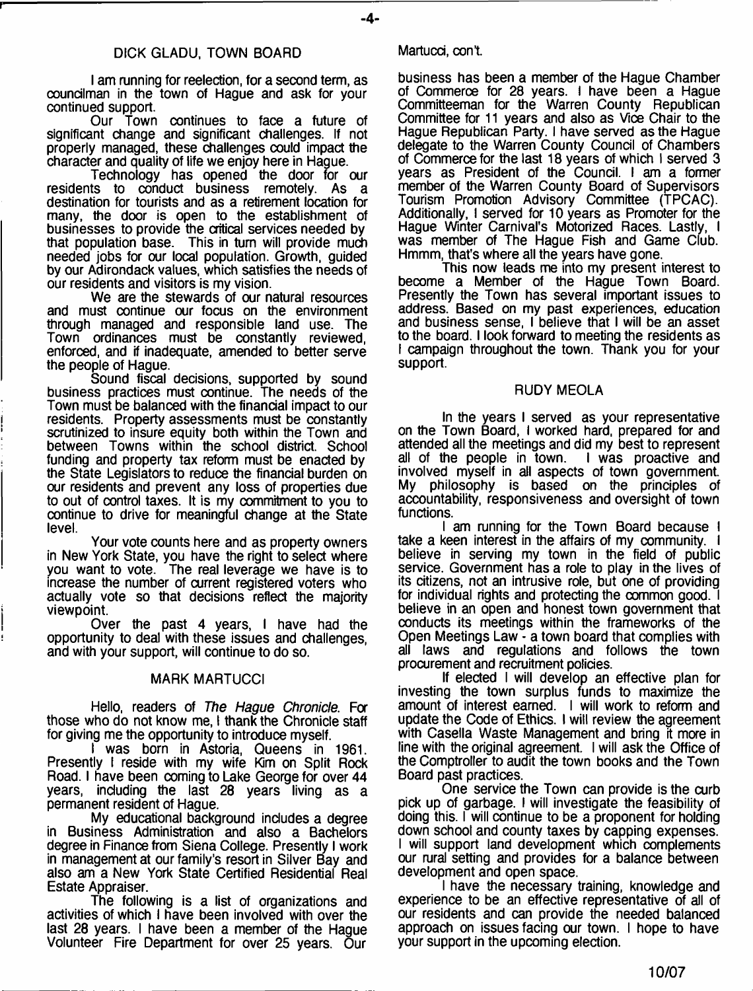## DICK GLADU, TOWN BOARD

I am running for reelection, for a second term, as councilman in the town of Hague and ask for your continued support.

Our Town continues to face a future of significant change and significant challenges. If not properly managed, these challenges could impact the character and quality of life we enjoy here in Hague.

Technology has opened the door for our residents to conduct business remotely. As a destination for tourists and as a retirement location for many, the door is open to the establishment of businesses to provide the critical services needed by that population base. This in turn will provide much needed jobs for our local population. Growth, guided by our Adirondack values, which satisfies the needs of our residents and visitors is my vision.

We are the stewards of our natural resources and must continue our focus on the environment through managed and responsible land use. The Town ordinances must be constantly reviewed, enforced, and if inadequate, amended to better serve the people of Hague.

Sound fiscal decisions, supported by sound business practices must continue. The needs of the Town must be balanced with the financial impact to our residents. Property assessments must be constantly scrutinized to insure equity both within the Town and between Towns within the school district. School funding and property tax reform must be enacted by the State Legislators to reduce the financial burden on our residents and prevent any loss of properties due to out of control taxes. It is my commitment to you to continue to drive for meaningful change at the State level.

Your vote counts here and as property owners in New York State, you have the right to select where you want to vote. The real leverage we have is to increase the number of current registered voters who actually vote so that decisions reflect the majority viewpoint.

Over the past 4 years, I have had the opportunity to deal with these issues and challenges, and with your support, will continue to do so.

## MARK MARTUCCI

Hello, readers of *The Hague Chronicle.* For those who do not know me, I thank the Chronicle staff for giving me the opportunity to introduce myself.

was born in Astoria, Queens in 1961. Presently I reside with my wife Kim on Split Rock Road. I have been coming to Lake George for over 44 years, including the last 28 years living as a permanent resident of Hague.

My educational background includes a degree in Business Administration and also a Bachelors degree in Finance from Siena College. Presently I work in management at our family's resort in Silver Bay and also am a New York State Certified Residential Real Estate Appraiser.

The following is a list of organizations and activities of which I have been involved with over the last 28 years. I have been a member of the Hague Volunteer Fire Department for over 25 years. Our

## Martucci, con't.

business has been a member of the Hague Chamber of Commerce for 28 years. I have been a Hague Committeeman for the Warren County Republican Committee for 11 years and also as Vice Chair to the Hague Republican Party. I have served as the Hague delegate to the Warren County Council of Chambers of Commerce for the last 18 years of which I served 3 years as President of the Council. I am a former member of the Warren County Board of Supervisors Tourism Promotion Advisory Committee (TPCAC). Additionally, I served for 10 years as Promoter for the Hague Winter Carnival's Motorized Races. Lastly, I was member of The Hague Fish and Game Club. Hmmm, that's where all the years have gone.

This now leads me into my present interest to become a Member of the Hague Town Board. Presently the Town has several important issues to address. Based on my past experiences, education and business sense, I believe that I will be an asset to the board. I look forward to meeting the residents as I campaign throughout the town. Thank you for your support.

## RUDY MEOLA

In the years I served as your representative on the Town Board, I worked hard, prepared for and attended all the meetings and did my best to represent all of the people in town. I was proactive and involved myself in ail aspects of town government. My philosophy is based on the principles of accountability, responsiveness and oversight of town functions.

I am running for the Town Board because I take a keen interest in the affairs of my community. I believe in serving my town in the field of public service. Government has a role to play in the lives of its citizens, not an intrusive role, but one of providing for individual rights and protecting the common good. I believe in an open and honest town government that conducts its meetings within the frameworks of the Open Meetings Law - a town board that complies with all laws and regulations and follows the town procurement and recruitment policies.

If elected I will develop an effective plan for investing the town surplus funds to maximize the amount of interest earned. I will work to reform and update the Code of Ethics. I will review the agreement with Casella Waste Management and bring it more in line with the original agreement. I will ask the Office of the Comptroller to audit the town books and the Town Board past practices.

One service the Town can provide is the curb pick up of garbage. I will investigate the feasibility of doing this. I will continue to be a proponent for holding down school and county taxes by capping expenses. I will support land development which complements our rural setting and provides for a balance between development and open space.

I have the necessary training, knowledge and experience to be an effective representative of all of our residents and can provide the needed balanced approach on issues facing our town. I hope to have your support in the upcoming election.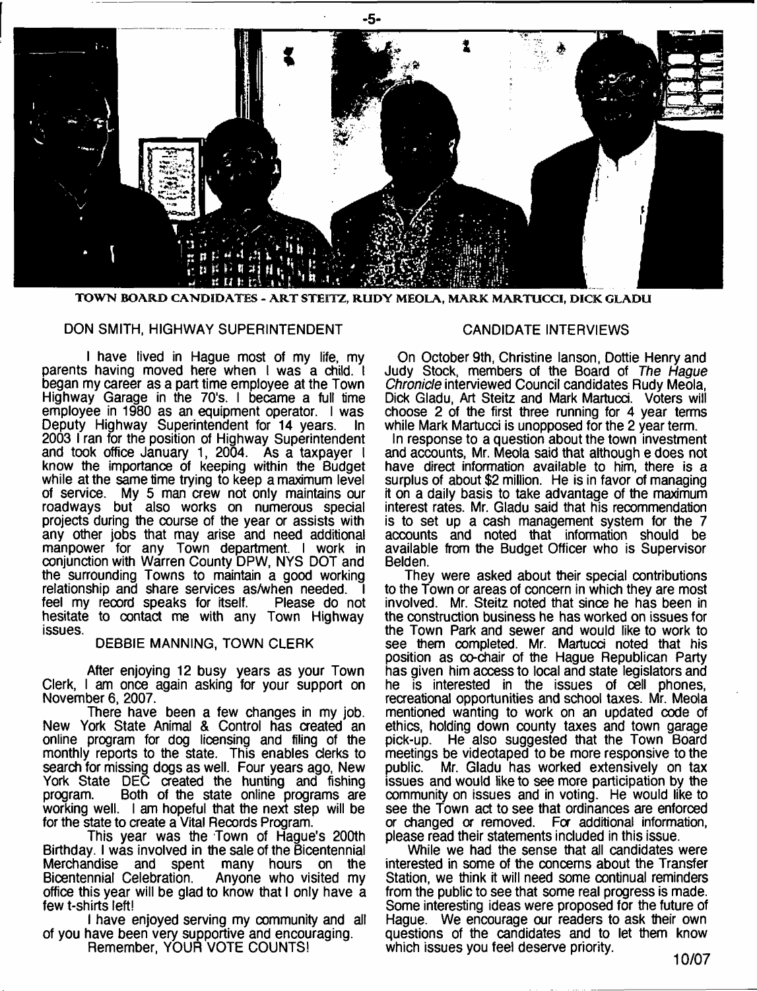

TOWN BOARD CANDIDATES - ART STEITZ, RUDY MEOLA, MARK MARTUCCI, DICK GLADU

#### DON SMITH, HIGHWAY SUPERINTENDENT

I have lived in Hague most of my life, my parents having moved here when I was a child. I began my career as a part time employee at the Town Highway Garage in the 70's. I became a full time employee in 1980 as an equipment operator. I was Deputy Highway Superintendent for 14 years. In 2003 I ran for the position of Highway Superintendent and took office January 1, 2004. As a taxpayer I know the importance of keeping within the Budget while at the same time trying to keep a maximum level of service. My 5 man crew not only maintains our roadways but also works on numerous special projects during the course of the year or assists with any other jobs that may arise and need additional manpower for any Town department. I work in conjunction with Warren County DPW, NYS DOT and the surrounding Towns to maintain a good working relationship and share services as/when needed. I feel my record speaks for itself. Please do not hesitate to contact me with any Town Highway issues

#### DEBBIE MANNING, TOWN CLERK

After enjoying 12 busy years as your Town Clerk, I am once again asking for your support on November 6, 2007.

There have been a few changes in my job. New York State Animal & Control has created an online program for dog licensing and filing of the monthly reports to the state. This enables clerks to search for missing dogs as well. Four years ago, New York State DEC created the hunting and fishing program. Both of the state online programs are working well. I am hopeful that the next step will be for the state to create a Vital Records Program.

This year was the Town of Hague's 200th Birthday. I was involved in the sale of the Bicentennial Merchandise and spent many hours on the Bicentennial Celebration. Anyone who visited my office this year will be glad to know that I only have a few t-shirts left!

I have enjoyed serving my community and all of you have been very supportive and encouraging. Remember, YOUR VOTE COUNTS!

#### CANDIDATE INTERVIEWS

On October 9th, Christine lanson, Dottie Henry and Judy Stock, members of the Board of *The Hague Chronicle* interviewed Council candidates Rudy Meola, Dick Gladu, Art Steitz and Mark Martucd. Voters will choose 2 of the first three running for 4 year terms while Mark Martucci is unopposed for the 2 year term.

In response to a question about the town investment and accounts, Mr. Meola said that although e does not have direct information available to him, there is a surplus of about \$2 million. He is in favor of managing it on a daily basis to take advantage of the maximum interest rates. Mr. Gladu said that his recommendation is to set up a cash management system for the 7 accounts and noted that information should be available from the Budget Officer who is Supervisor Belden.

They were asked about their spedal contributions to the Town or areas of concern in which they are most involved. Mr. Steitz noted that since he has been in the construction business he has worked on issues for the Town Park and sewer and would like to work to see them completed. Mr. Martucci noted that his position as co-chair of the Hague Republican Party has given him access to local and state legislators and he is interested in the issues of cell phones, recreational opportunities and school taxes. Mr. Meola mentioned wanting to work on an updated code of ethics, holding down county taxes and town garage pick-up. He also suggested that the Town Board meetings be videotaped to be more responsive to the public. Mr. Gladu has worked extensively on tax Mr. Gladu has worked extensively on tax issues and would like to see more participation by the community on issues and in voting. He would like to see the Town act to see that ordinances are enforced or changed *or* removed. For additional information, please read their statements included in this issue.

While we had the sense that all candidates were interested in some of the concerns about the Transfer Station, we think it will need some continual reminders from the public to see that some real progress is made. Some interesting ideas were proposed for the future of Hague. We encourage our readers to ask their own questions of the candidates and to let them know which issues you feel deserve priority.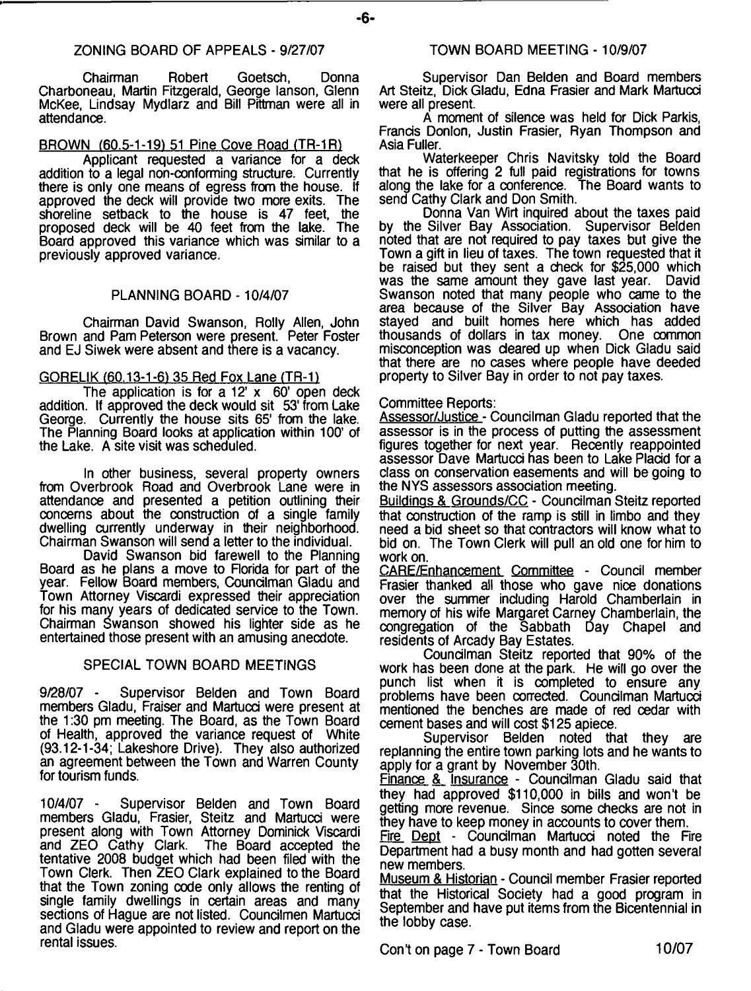Chairman Robert Goetsch, Donna Charboneau, Martin Fitzgerald, George lanson, Glenn McKee, Lindsay Mydlarz and Bill Pittman were all in attendance.

## BROWN (60.5-1-19) 51 Pine Cove Road (TR-1R1

Applicant requested a variance for a deck addition to a legal non-conforming structure. Currently there is only one means of egress from the house. If approved the deck will provide two more exits. The shoreline setback to the house is 47 feet, the proposed deck will be 40 feet from the lake. The Board approved this variance which was similar to a previously approved variance.

## PLANNING BOARD -10/4/07

Chairman David Swanson, Roily Allen, John Brown and Pam Peterson were present. Peter Foster and EJ Siwek were absent and there is a vacancy.

## GORELIK (60.13-1-6) 35 Red Fox Lane (TR-1)

The application is for a  $12' \times 60'$  open deck addition. If approved the deck would sit 53' from Lake George. Currently the house sits 65' from the lake. The Planning Board looks at application within 100' of the Lake. A site visit was scheduled.

In other business, several property owners from Overbrook Road and Overbrook Lane were in attendance and presented a petition outlining their concerns about the construction of a single family dwelling currently underway in their neighborhood. Chairman Swanson will send a letter to the individual.

David Swanson bid farewell to the Planning Board as he plans a move to Rorida for part of the year. Fellow Board members, Councilman Gladu and Town Attorney Viscardi expressed their appreciation for his many years of dedicated service to the Town. Chairman Swanson showed his lighter side as he entertained those present with an amusing anecdote.

## SPECIAL TOWN BOARD MEETINGS

9/28/07 - Supervisor Belden and Town Board members Gladu, Fraiser and Martucd were present at the 1:30 pm meeting. The Board, as the Town Board of Health, approved the variance request of White (93.12-1-34; Lakeshore Drive). They also authorized an agreement between the Town and Warren County for tourism funds.

10/4/07 - Supervisor Belden and Town Board members Gladu, Frasier, Steitz and Martucci were present along with Town Attorney Dominick Viscardi and ZEO Cathy Clark. The Board accepted the tentative 2008 budget which had been filed with the Town Clerk. Then ZEO Clark explained to the Board that the Town zoning code only allows the renting of single family dwellings in certain areas and many sections of Hague are not listed. Councilmen Martucci and Gladu were appointed to review and report on the rental issues.

Supervisor Dan Belden and Board members Art Steitz, Dick Gladu, Edna Frasier and Mark Martucd were all present.

A moment of silence was held for Dick Parkis, Frands Donlon, Justin Frasier, Ryan Thompson and Asia Fuller.

Waterkeeper Chris Navitsky told the Board that he is offering 2 full paid registrations for towns along the lake for a conference. The Board wants to send Cathy Clark and Don Smith.

Donna Van Wirt inquired about the taxes paid by the Silver Bay Association. Supervisor Belden noted that are not required to pay taxes but give the Town a gift in lieu of taxes. The town requested that it be raised but they sent a check for \$25,000 which was the same amount they gave last year. David Swanson noted that many people who came to the area because of the Silver Bay Assodation have stayed and built homes here which has added<br>thousands of dollars in tax money. One common thousands of dollars in tax money. misconception was deared up when Dick Gladu said that there are no cases where people have deeded property to Silver Bay in order to not pay taxes.

## Committee Reports:

**-6-**

Assessor/Justice - Councilman Gladu reported that the assessor is in the process of putting the assessment figures together for next year. Recently reappointed assessor Dave Martucd has been to Lake Pladd for a class on conservation easements and will be going to the NYS assessors assodation meeting.

Buildings & Grounds/CC - Councilman Steitz reported that construction of the ramp is still in limbo and they need a bid sheet so that contractors will know what to bid on. The Town Clerk will pull an old one for him to work on.

CARE/Enhancement Committee - Council member Frasier thanked all those who gave nice donations over the summer induding Harold Chamberlain in memory of his wife Margaret Carney Chamberlain, the congregation of the Sabbath Day Chapel and residents of Arcady Bay Estates.

Coundlman Steitz reported that 90% of the work has been done at the park. He will go over the punch list when it is completed to ensure any problems have been corrected. Councilman Martucci mentioned the benches are made of red cedar with cement bases and will cost \$125 apiece.

Supervisor Belden noted that they are replanning the entire town parking lots and he wants to apply for a grant by November 30th.

Finance & Insurance - Councilman Gladu said that they had approved \$110,000 in bills and won't be getting more revenue. Since some checks are not in they have to keep money in accounts to cover them.

Fire Dept - Councilman Martucci noted the Fire Department had a busy month and had gotten several new members.

Museum & Historian - Council member Frasier reported that the Historical Society had a good program in September and have put items from the Bicentennial in the lobby case.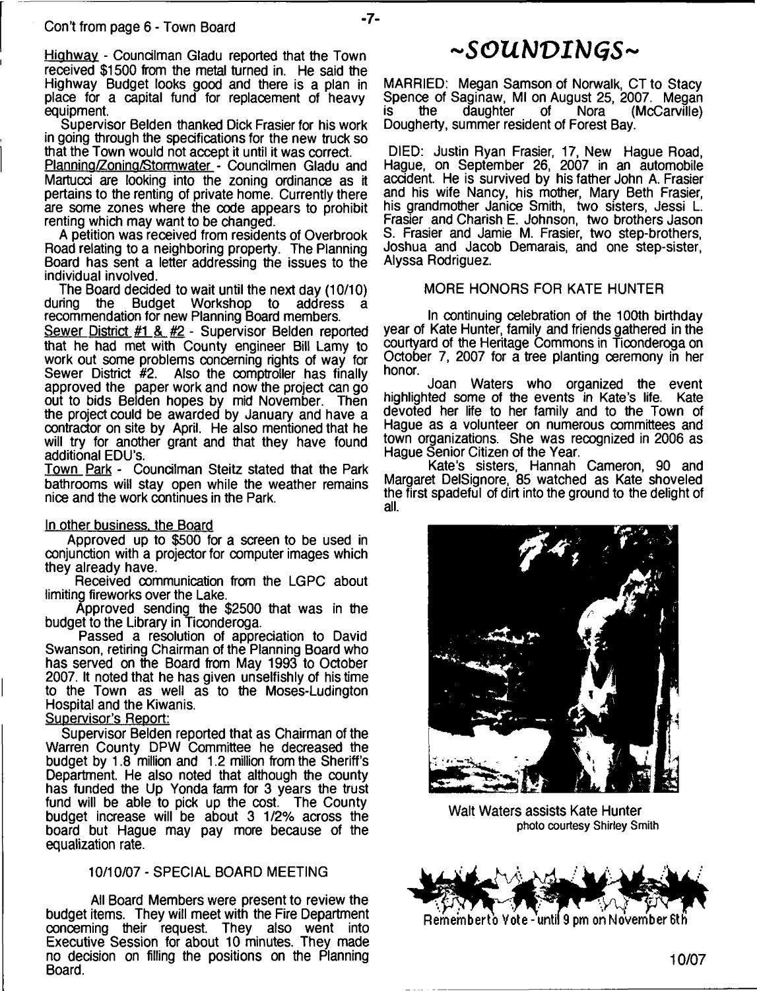Highway - Councilman Gladu reported that the Town received \$1500 from the metal turned in. He said the Highway Budget looks good and there is a plan in place for a capital fund for replacement of heavy equipment.

 $-7-$ 

Supervisor Belden thanked Dick Frasier for his work in going through the specifications for the new truck so that the Town would not accept it until it was correct.

Planning/Zoning/Stormwater - Councilmen Gladu and Martucd are looking into the zoning ordinance as it pertains to the renting of private home. Currently there are some zones where the code appears to prohibit renting which may want to be changed.

A petition was received from residents of Overbrook Road relating to a neighboring property. The Planning Board has sent a letter addressing the issues to the individual involved.

The Board decided to wait until the next day (10/10)<br>during the Budget Workshop to address a Budget Workshop to address recommendation for new Planning Board members.

Sewer District #1 & #2 - Supervisor Belden reported that he had met with County engineer Bill Lamy to work out some problems concerning rights of way for<br>Sewer District #2. Also the comptroller has finally Also the comptroller has finally approved the paper work and now the project can go out to bids Belden hopes by mid November. Then the project could be awarded by January and have a contractor on site by April. He also mentioned that he will try for another grant and that they have found additional EDU's.

Town Park - Councilman Steitz stated that the Park bathrooms will stay open while the weather remains nice and the work continues in the Park.

#### In other business, the Board

Approved up to \$500 for a screen to be used in conjunction with a projector for computer images which they already have.

Received communication from the LGPC about limiting fireworks over the Lake.

Approved sending the \$2500 that was in the budget to the Library in Ticonderoga.

Passed a resolution of appreciation to David Swanson, retiring Chairman of the Planning Board who has served on the Board from May 1993 to October 2007. It noted that he has given unselfishly of his time to the Town as well as to the Moses-Ludington Hospital and the Kiwanis.

## Supervisor's Report:

Supervisor Belden reported that as Chairman of the Warren County DPW Committee he decreased the budget by 1.8 million and 1.2 million from the Sheriff's Department. He also noted that although the county has funded the Up Yonda farm for 3 years the trust fund will be able to pick up the cost. The County budget increase will be about 3 1/2% across the board but Hague may pay more because of the equalization rate.

## 10/10/07 - SPECIAL BOARD MEETING

All Board Members were present to review the budget items. They will meet with the Fire Department concerning their request. They also went into Executive Session for about 10 minutes. They made no decision on filling the positions on the Planning Board.

## **~***SOUbJVIblGS***~**

MARRIED: Megan Samson of Norwalk, CT to Stacy Spence of Saginaw, MI on August 25, 2007. Megan<br>is the daughter of Nora (McCarville) (McCarville) Dougherty, summer resident of Forest Bay.

DIED: Justin Ryan Frasier, 17, New Hague Road, Hague, on September 26, 2007 in an automobile accident. He is survived by his father John A. Frasier and his wife Nancy, his mother, Mary Beth Frasier, his grandmother Janice Smith, two sisters, Jessi L. Frasier and Charish E. Johnson, two brothers Jason S. Frasier and Jamie M. Frasier, two step-brothers, Joshua and Jacob Demarais, and one step-sister, Alyssa Rodriguez.

#### MORE HONORS FOR KATE HUNTER

In continuing celebration of the 100th birthday year of Kate Hunter, family and friends gathered in the courtyard of the Heritage Commons in Ticonderoga on October 7, 2007 for a tree planting ceremony in her honor.

Joan Waters who organized the event highlighted some of the events in Kate's life. Kate devoted her life to her family and to the Town of Hague as a volunteer on numerous committees and town organizations. She was recognized in 2006 as Hague Senior Citizen of the Year.

Kate's sisters, Hannah Cameron, 90 and Margaret DelSignore, 85 watched as Kate shoveled the first spadeful of dirt into the ground to the delight of all.



Walt Waters assists Kate Hunter **photo courtesy Shirley Smith**

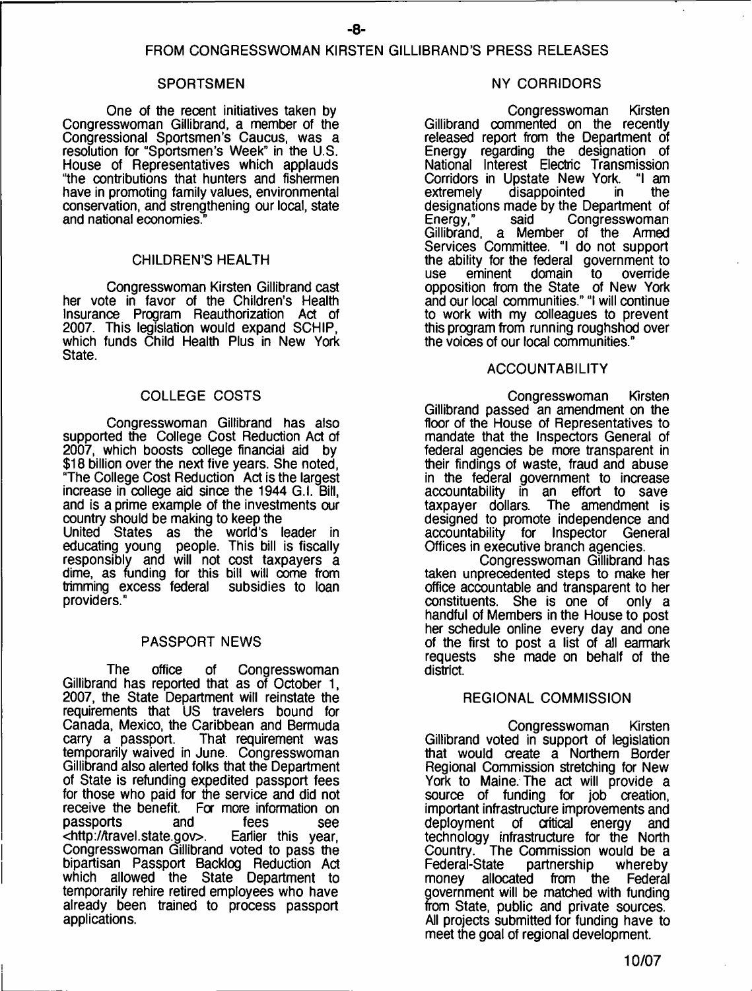## FROM CONGRESSWOMAN KIRSTEN GILLIBRAND'S PRESS RELEASES

#### SPORTSMEN

One of the recent initiatives taken by Congresswoman Gillibrand, a member of the Congressional Sportsmen's Caucus, was a resolution for "Sportsmen's Week" in the U.S. House of Representatives which applauds "the contributions that hunters and fishermen have in promoting family values, environmental conservation, and strengthening our local, state and national economies."

## CHILDREN'S HEALTH

Congresswoman Kirsten Gillibrand cast her vote in favor of the Children's Health insurance Program Reauthorization Act of 2007. This legislation would expand SCHIP, which funds Child Health Plus in New York State.

## COLLEGE COSTS

Congresswoman Gillibrand has also supported the College Cost Reduction Act of 2007, which boosts college financial aid by \$18 billion over the next five years. She noted, "The College Cost Reduction Act is the largest increase in college aid since the 1944 G.l. Bill, and is a prime example of the investments our country should be making to keep the United States as the world's leader in educating young people. This bill is fiscally responsibly and will not cost taxpayers a dime, as funding for this bill will come from trimming excess federal subsidies to loan providers."

## PASSPORT NEWS

The office of Congresswoman Gillibrand has reported that as of October 1, 2007, the State Department will reinstate the requirements that US travelers bound for Canada, Mexico, the Caribbean and Bermuda That requirement was temporarily waived in June. Congresswoman Gillibrand also alerted folks that the Department of State is refunding expedited passport fees for those who paid for the service and did not receive the benefit. For more information on passports and fees see<br>
<http://travel.state.gov>. Earlier this year, <http://travel.state.gov>. Congresswoman Gillibrand voted to pass the bipartisan Passport Backlog Reduction Act which allowed the State Department to temporarily rehire retired employees who have already been trained to process passport applications.

#### NY CORRIDORS

Congresswoman Kirsten Gillibrand commented on the recently released report from the Department of Energy regarding the designation of National Interest Electric Transmission Corridors in Upstate New York. "I am extremely disappointed in the designations made by the Department of<br>Energy," said Congresswoman Congresswoman Gillibrand, a Member of the Armed Services Committee. "I do not support the ability for the federal government to<br>use eminent domain to override use eminent domain to override opposition from the State of New York and our local communities." "I will continue to work with my colleagues to prevent this program from running roughshod over the voices of our local communities."

## ACCOUNTABILITY

Congresswoman Kirsten Gillibrand passed an amendment on the floor of the House of Representatives to mandate that the Inspectors General of federal agencies be more transparent in their findings of waste, fraud and abuse in the federal government to increase accountability in an effort to save The amendment is designed to promote independence and accountability for Inspector General Offices in executive branch agencies.

Congresswoman Gillibrand has taken unprecedented steps to make her office accountable and transparent to her constituents. She is one of only a handful of Members in the House to post her schedule online every day and one of the first to post a list of all earmark requests she made on behalf of the district.

## REGIONAL COMMISSION

Congresswoman Kirsten Gillibrand voted in support of legislation that would create a Northern Border Regional Commission stretching for New York to Maine. The act will provide a source of funding for job creation, important infrastructure improvements and deployment of critical energy and technology infrastructure for the North Country. The Commission would be a Federal-State partnership whereby money allocated from the Federal government will be matched with funding from State, public and private sources. All projects submitted for funding have to meet the goal of regional development.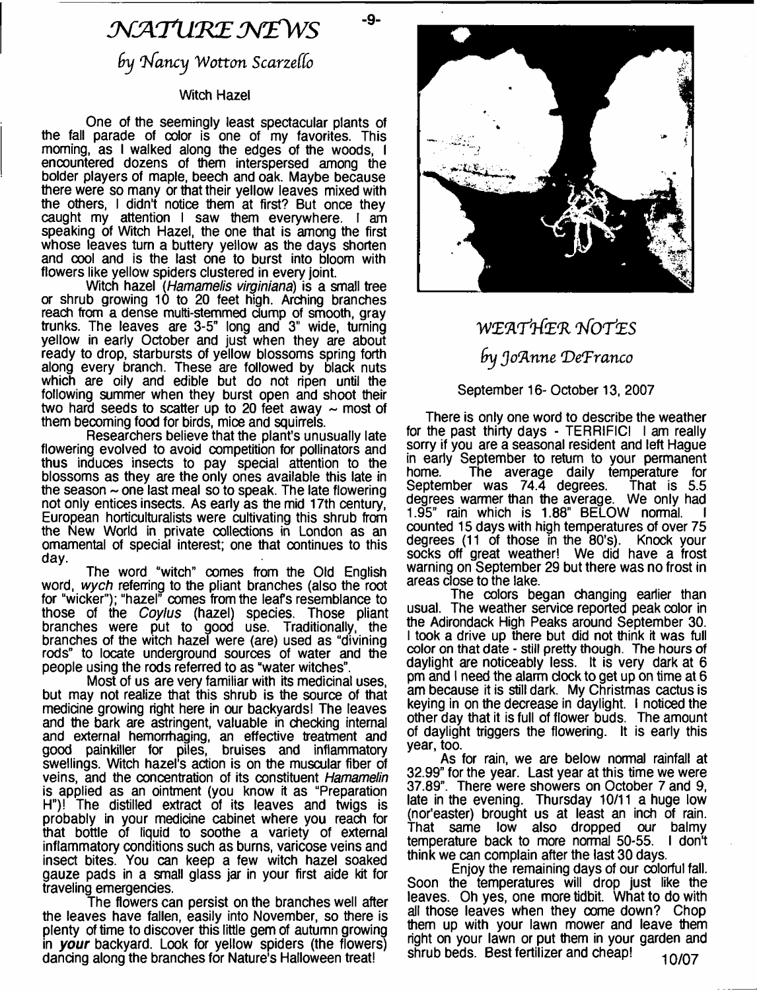# *.'M A T U 'K E M £ W S*

-9-

*rhfancy W otton Scarzeffo*

## Witch Hazel

One of the seemingly least spectacular plants of the fall parade of color is one of my favorites. This morning, as I walked along the edges of the woods, I encountered dozens of them interspersed among the bolder players of maple, beech and oak. Maybe because there were so many or that their yellow leaves mixed with the others, I didn't notice them at first? But once they caught my attention I saw them everywhere. I am speaking of Witch Hazel, the one that is among the first whose leaves turn a buttery yellow as the days shorten and cool and is the last one to burst into bloom with flowers like yellow spiders clustered in every joint.

Witch hazel *(Hamamelis virginiana*) is a small tree or shrub growing 10 to 20 feet high. Arching branches reach from a dense multi-stemmed dump of smooth, gray trunks. The leaves are 3-5" long and 3" wide, turning yellow in early October and just when they are about ready to drop, starbursts of yellow blossoms spring forth along every branch. These are followed by black nuts which are oily and edible but do not ripen until the following summer when they burst open and shoot their two hard seeds to scatter up to 20 feet away  $\sim$  most of them becoming food for birds, mice and squirrels.

Researchers believe that the plant's unusually late flowering evolved to avoid competition for pollinators and thus induces insects to pay special attention to the blossoms as they are the only ones available this late in the season  $\sim$  one last meal so to speak. The late flowering not only entices insects. As early as the mid 17th century, European horticulturalists were cultivating this shrub from the New World in private collections in London as an ornamental of special interest; one that continues to this day.

The word "witch" comes from the Old English word, *wych* referring to the pliant branches (also the root for "wicker"); "hazel" comes from the leafs resemblance to those of the *Coylus* (hazel) species. Those pliant branches were put to good use. Traditionally, the branches of the witch hazel were (are) used as "divining rods" to locate underground sources of water and the people using the rods referred to as "water witches".

Most of us are very familiar with its medicinal uses, but may not realize that this shrub is the source of that medicine growing right here in our backyards! The leaves and the bark are astringent, valuable in checking internal and external hemorrhaging, an effective treatment and good painkiller for piles, bruises and inflammatory swellings. Witch hazel's action is on the muscular fiber of veins, and the concentration of its constituent *Hamamelin* is applied as an ointment (you know it as "Preparation H")! The distilled extract of its leaves and twigs is probably in your medicine cabinet where you reach for that bottle of liquid to soothe a variety of external inflammatory conditions such as burns, varicose veins and insect bites. You can keep a few witch hazel soaked gauze pads in a small glass jar in your first aide kit for traveling emergencies.

The flowers can persist on the branches well after the leaves have fallen, easily into November, so there is plenty of time to discover this little gem of autumn growing in *your* backyard. Look for yellow spiders (the flowers) dancing along the branches for Nature's Halloween treat!



# *W E W flfe'R T fo r iE S by Jo'Anne 'DeTranco*

## September 16- October 13, 2007

There is only one word to describe the weather for the past thirty days - TERRIFIC! I am really sorry if you are a seasonal resident and left Hague in early September to return to your permanent home. The average daily temperature for<br>September was 74.4 degrees. That is 5.5 September was 74.4 degrees. degrees warmer than the average. We only had 1.95" rain which is 1.88" BELOW normal. counted 15 days with high temperatures of over 75 degrees (11 of those in the 80's). Knock your socks off great weatherl We did have a frost warning on September 29 but there was no frost in areas close to the lake.

The colors began changing earlier than usual. The weather service reported peak color in the Adirondack High Peaks around September 30. I took a drive up there but did not think it was full color on that date - still pretty though. The hours of daylight are noticeably less. It is very dark at 6 pm and I need the alarm dock to get up on time at 6 am because it is still dark. My Christmas cactus is keying in on the decrease in daylight. I noticed the other day that it is full of flower buds. The amount of daylight triggers the flowering. It is early this year, too.

As for rain, we are below normal rainfall at 32.99" for the year. Last year at this time we were 37.89". There were showers on October 7 and 9, late in the evening. Thursday 10/11 a huge low (nor'easter) brought us at least an inch of rain. That same low also dropped our balmy temperature back to more normal 50-55. I don't think we can complain after the last 30 days.

Enjoy the remaining days of our colorful fall. Soon the temperatures will drop just like the leaves. Oh yes, one more tidbit. What to do with all those leaves when they come down? Chop them up with your lawn mower and leave them right on your lawn or put them in your garden and shrub beds. Best fertilizer and cheap! 10/07